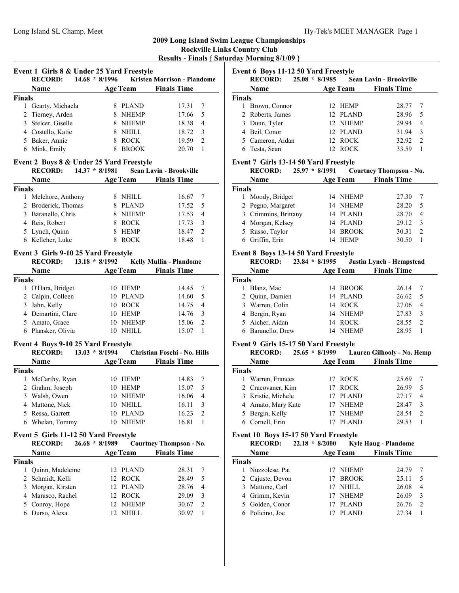# **2009 Long Island Swim League Championships**

**Rockville Links Country Club Results - Finals { Saturday Morning 8/1/09 }**

|                | Event 1 Girls 8 & Under 25 Yard Freestyle<br><b>RECORD:</b> |                  |                 | 14.68 * 8/1996 Kristen Morrison - Plandome |                |
|----------------|-------------------------------------------------------------|------------------|-----------------|--------------------------------------------|----------------|
|                | Name                                                        |                  |                 | Age Team Finals Time                       |                |
| <b>Finals</b>  |                                                             |                  |                 |                                            |                |
|                | 1 Gearty, Michaela                                          |                  | 8 PLAND         | 17.31                                      | 7              |
|                | 2 Tierney, Arden                                            |                  | 8 NHEMP         | 17.66                                      | 5              |
|                | 3 Stelcer, Giselle                                          |                  | 8 NHEMP         | 18.38                                      | 4              |
|                | 4 Costello, Katie                                           |                  | 8 NHILL         | 18.72                                      | 3              |
|                |                                                             |                  | 8 ROCK          |                                            | $\overline{2}$ |
|                | 5 Baker, Annie                                              |                  |                 | 19.59                                      |                |
|                | 6 Mink, Emily                                               | 8                | <b>BROOK</b>    | 20.70                                      | 1              |
|                | Event 2 Boys 8 & Under 25 Yard Freestyle                    |                  |                 |                                            |                |
|                | <b>RECORD:</b>                                              | $14.37 * 8/1981$ |                 | Sean Lavin - Brookville                    |                |
|                | Name                                                        |                  | Age Team        | <b>Finals Time</b>                         |                |
| <b>Finals</b>  |                                                             |                  |                 |                                            |                |
| 1              | Melchore, Anthony                                           |                  | 8 NHILL         | 16.67                                      | 7              |
|                | 2 Broderick, Thomas                                         |                  | 8 PLAND         | 17.52                                      | 5              |
|                | 3 Baranello, Chris                                          |                  | 8 NHEMP         | 17.53                                      | 4              |
|                | 4 Reis, Robert                                              |                  | 8 ROCK          | 17.73                                      | 3              |
|                | 5 Lynch, Quinn                                              |                  | 8 HEMP          | 18.47                                      | $\overline{2}$ |
|                | 6 Kelleher, Luke                                            | 8                | <b>ROCK</b>     | 18.48                                      | 1              |
|                |                                                             |                  |                 |                                            |                |
|                | Event 3 Girls 9-10 25 Yard Freestyle                        |                  |                 |                                            |                |
|                | <b>RECORD:</b>                                              | $13.18 * 8/1992$ |                 | <b>Kelly Mullin - Plandome</b>             |                |
|                | <b>Name</b>                                                 |                  |                 | <b>Age Team</b> Finals Time                |                |
| <b>Finals</b>  |                                                             |                  |                 |                                            |                |
| 1              | O'Hara, Bridget                                             | 10               | HEMP            | 14.45                                      | 7              |
| 2              | Calpin, Colleen                                             |                  | 10 PLAND        | 14.60                                      | 5              |
|                | 3 Jahn, Kelly                                               |                  | 10 ROCK         | 14.75                                      | $\overline{4}$ |
|                | 4 Demartini, Clare                                          |                  | 10 HEMP         | 14.76                                      | 3              |
|                | 5 Amato, Grace                                              |                  | 10 NHEMP        | 15.06                                      | $\overline{c}$ |
|                | 6 Plansker, Olivia                                          |                  | 10 NHILL        | 15.07                                      | $\mathbf{1}$   |
|                |                                                             |                  |                 |                                            |                |
|                | Event 4 Boys 9-10 25 Yard Freestyle                         |                  |                 |                                            |                |
|                | <b>RECORD:</b>                                              | $13.03 * 8/1994$ |                 | Christian Foschi - No. Hills               |                |
|                | Name                                                        |                  |                 | <b>Age Team</b> Finals Time                |                |
| <b>Finals</b>  |                                                             |                  |                 |                                            |                |
| 1              | McCarthy, Ryan                                              |                  | 10 HEMP         | 14.83                                      | 7              |
| $\overline{c}$ | Grahm, Joseph                                               |                  | 10 HEMP         | 15.07                                      | 5              |
| 3              | Walsh, Owen                                                 |                  | 10 NHEMP        | 16.06                                      | $\overline{4}$ |
| 4              | Mattone, Nick                                               |                  | 10 NHILL        | 16.11                                      | 3              |
| 5.             | Ressa, Garrett                                              | 10               | PLAND           | 16.23                                      | $\overline{c}$ |
| 6              | Whelan, Tommy                                               | 10               | <b>NHEMP</b>    | 16.81                                      | 1              |
|                |                                                             |                  |                 |                                            |                |
|                | Event 5 Girls 11-12 50 Yard Freestyle                       |                  |                 |                                            |                |
|                | <b>RECORD:</b>                                              | $26.68 * 8/1989$ |                 | <b>Courtney Thompson - No.</b>             |                |
|                | Name                                                        |                  | <b>Age Team</b> | <b>Finals Time</b>                         |                |
| Finals         |                                                             |                  |                 |                                            |                |
| 1              | Quinn, Madeleine                                            |                  | 12 PLAND        | 28.31                                      | 7              |
| 2              | Schmidt, Kelli                                              | 12               | <b>ROCK</b>     | 28.49                                      | 5              |
|                |                                                             |                  |                 |                                            |                |

4 29.09 3 Marasco, Rachel 12 ROCK 5 30.67 2 Conroy, Hope 12 NHEMP 6 30.97 1 Durso, Alexa 12 NHILL

| Event 6 Boys 11-12 50 Yard Freestyle |                  |                  |          |                                |                |  |  |  |
|--------------------------------------|------------------|------------------|----------|--------------------------------|----------------|--|--|--|
|                                      | <b>RECORD:</b>   | $25.08 * 8/1985$ |          | <b>Sean Lavin - Brookville</b> |                |  |  |  |
|                                      | <b>Name</b>      |                  | Age Team | <b>Finals Time</b>             |                |  |  |  |
| <b>Finals</b>                        |                  |                  |          |                                |                |  |  |  |
|                                      | Brown, Connor    |                  | 12 HEMP  | 28.77                          | 7              |  |  |  |
|                                      | 2 Roberts, James |                  | 12 PLAND | 28.96                          | .5             |  |  |  |
|                                      | 3 Dunn, Tyler    |                  | 12 NHEMP | 29.94                          | $\overline{4}$ |  |  |  |
|                                      | 4 Beil, Conor    |                  | 12 PLAND | 31.94                          | 3              |  |  |  |
|                                      | 5 Cameron, Aidan |                  | 12 ROCK  | 32.92                          | $\mathcal{L}$  |  |  |  |
|                                      | Testa, Sean      |                  | 12 ROCK  | 33.59                          |                |  |  |  |

# **Event 7 Girls 13-14 50 Yard Freestyle**

|        | <b>RECORD:</b><br>$25.97 * 8/1991$ |                 | <b>Courtney Thompson - No.</b> |                    |
|--------|------------------------------------|-----------------|--------------------------------|--------------------|
|        | Name                               | <b>Age Team</b> | <b>Finals Time</b>             |                    |
| Finals |                                    |                 |                                |                    |
|        | Moody, Bridget                     | 14 NHEMP        | 27.30                          |                    |
|        | 2 Pegno, Margaret                  | 14 NHEMP        | 28.20                          | 5                  |
|        | 3 Crimmins, Brittany               | 14 PLAND        | 28.70                          | $\overline{4}$     |
|        | 4 Morgan, Kelsey                   | 14 PLAND        | 29.12                          | $\mathbf{3}$       |
|        | 5 Russo, Taylor                    | 14 BROOK        | 30.31                          | $\mathfrak{D}_{1}$ |
|        | 6 Griffin, Erin                    | 14 HEMP         | 30.50                          |                    |

# **Event 8 Boys 13-14 50 Yard Freestyle**

|               | <b>RECORD:</b>    | $23.84 * 8/1995$ |    |                 | Justin Lynch - Hempstead |     |
|---------------|-------------------|------------------|----|-----------------|--------------------------|-----|
|               | <b>Name</b>       |                  |    | <b>Age Team</b> | <b>Finals Time</b>       |     |
| <b>Finals</b> |                   |                  |    |                 |                          |     |
|               | Blanz, Mac        |                  |    | 14 BROOK        | 26.14                    | 7   |
|               | 2 Quinn, Damien   |                  |    | 14 PLAND        | 26.62                    | - 5 |
|               | 3 Warren, Colin   |                  |    | 14 ROCK         | 27.06                    | 4   |
|               | 4 Bergin, Ryan    |                  |    | 14 NHEMP        | 27.83                    | 3   |
|               | 5 Aicher, Aidan   |                  | 14 | ROCK            | 28.55                    | 2   |
|               | 6 Barancllo, Drew |                  |    | <b>NHEMP</b>    | 28.95                    |     |

# **Event 9 Girls 15-17 50 Yard Freestyle**

|               | <b>RECORD:</b>     | $25.65 * 8/1999$ |                 | Lauren Gilhooly - No. Hemp |   |
|---------------|--------------------|------------------|-----------------|----------------------------|---|
|               | <b>Name</b>        |                  | <b>Age Team</b> | <b>Finals Time</b>         |   |
| <b>Finals</b> |                    |                  |                 |                            |   |
|               | Warren, Frances    |                  | ' ROCK          | 25.69                      | 7 |
|               | 2 Cracovaner, Kim  |                  | <b>ROCK</b>     | 26.99                      | 5 |
|               | 3 Kristie, Michele |                  | <b>PLAND</b>    | 27.17                      | 4 |
|               | 4 Amato, Mary Kate |                  | <b>NHEMP</b>    | 28.47                      | 3 |
|               | 5 Bergin, Kelly    |                  | <b>NHEMP</b>    | 28.54                      | 2 |
|               | 6 Cornell, Erin    |                  | PLAND           | 29.53                      |   |

# **Event 10 Boys 15-17 50 Yard Freestyle**

|               | <b>RECORD:</b>   | $22.18 * 8/2000$ |                 | <b>Kyle Haug - Plandome</b> |               |
|---------------|------------------|------------------|-----------------|-----------------------------|---------------|
|               | Name             |                  | <b>Age Team</b> | <b>Finals Time</b>          |               |
| <b>Finals</b> |                  |                  |                 |                             |               |
|               | 1 Nuzzolese, Pat |                  | 17 NHEMP        | 24.79                       |               |
|               | 2 Cajuste, Devon |                  | 17 BROOK        | 25.11                       | 5             |
|               | 3 Mattone, Carl  |                  | 17 NHILL        | 26.08                       | 4             |
|               | 4 Grimm, Kevin   |                  | 17 NHEMP        | 26.09                       | 3             |
|               | 5 Golden, Conor  |                  | 17 PLAND        | 26.76                       | $\mathcal{D}$ |
|               | 6 Policino, Joe  |                  | <b>PLAND</b>    | 27 34                       |               |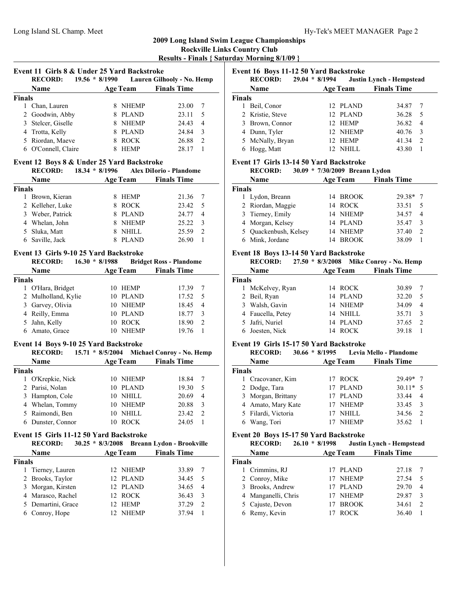# **2009 Long Island Swim League Championships Rockville Links Country Club**

**Results - Finals { Saturday Morning 8/1/09 }**

| Event 11 Girls 8 & Under 25 Yard Backstroke<br>$19.56 * 8/1990$<br><b>RECORD:</b><br>Lauren Gilhooly - No. Hemp |  |              |                                 |                |  |  |  |
|-----------------------------------------------------------------------------------------------------------------|--|--------------|---------------------------------|----------------|--|--|--|
| <b>Name</b>                                                                                                     |  |              | <b>Finals Time</b>              |                |  |  |  |
| <b>Finals</b>                                                                                                   |  |              |                                 |                |  |  |  |
| Chan, Lauren                                                                                                    |  | <b>NHEMP</b> | 23.00                           |                |  |  |  |
| 2 Goodwin, Abby                                                                                                 |  | <b>PLAND</b> | 23.11                           | 5              |  |  |  |
| 3 Stelcer, Giselle                                                                                              |  |              | 24.43                           | 4              |  |  |  |
| 4 Trotta, Kelly                                                                                                 |  | <b>PLAND</b> | 24.84                           | 3              |  |  |  |
| 5 Riordan, Maeve                                                                                                |  | <b>ROCK</b>  | 26.88                           | $\overline{c}$ |  |  |  |
| O'Connell, Claire                                                                                               |  | <b>HEMP</b>  | 28.17                           |                |  |  |  |
|                                                                                                                 |  |              | <b>Age Team</b><br><b>NHEMP</b> |                |  |  |  |

# **Event 12 Boys 8 & Under 25 Yard Backstroke**

|               | <b>RECORD:</b>   | $18.34 * 8/1996$ |    |                 | Alex DiIorio - Plandome |                |
|---------------|------------------|------------------|----|-----------------|-------------------------|----------------|
|               | <b>Name</b>      |                  |    | <b>Age Team</b> | <b>Finals Time</b>      |                |
| <b>Finals</b> |                  |                  |    |                 |                         |                |
|               | Brown, Kieran    |                  |    | <b>HEMP</b>     | 21.36                   |                |
|               | 2 Kelleher, Luke |                  | 8. | <b>ROCK</b>     | 23.42                   | -5             |
|               | 3 Weber, Patrick |                  |    | <b>PLAND</b>    | 24.77                   | $\overline{4}$ |
|               | 4 Whelan, John   |                  |    | <b>NHEMP</b>    | 25.22                   | 3              |
|               | 5 Sluka, Matt    |                  |    | <b>NHILL</b>    | 25.59                   | $\mathcal{D}$  |
|               | 6 Saville, Jack  |                  |    | <b>PLAND</b>    | 26.90                   |                |

#### **Event 13 Girls 9-10 25 Yard Backstroke**

|               | <b>RECORD:</b><br>$16.30 * 8/1988$ |              |                 | <b>Bridget Ross - Plandome</b> |               |
|---------------|------------------------------------|--------------|-----------------|--------------------------------|---------------|
|               | Name                               |              | <b>Age Team</b> | <b>Finals Time</b>             |               |
| <b>Finals</b> |                                    |              |                 |                                |               |
|               | 1 O'Hara, Bridget                  | $10^{\circ}$ | HEMP            | 17.39                          | -7            |
|               | 2 Mulholland, Kylie                |              | 10 PLAND        | 17.52                          | - 5           |
|               | 3 Garvey, Olivia                   |              | 10 NHEMP        | 18.45                          | 4             |
|               | 4 Reilly, Emma                     |              | 10 PLAND        | 18.77                          | 3             |
|               | 5 Jahn, Kelly                      |              | 10 ROCK         | 18.90                          | $\mathcal{D}$ |
|               | Amato, Grace                       |              | <b>NHEMP</b>    | 19 76                          |               |

#### **Event 14 Boys 9-10 25 Yard Backstroke**

| <b>RECORD:</b>  |     |              |                                                                                        |                           |
|-----------------|-----|--------------|----------------------------------------------------------------------------------------|---------------------------|
| <b>Name</b>     |     |              | <b>Finals Time</b>                                                                     |                           |
| <b>Finals</b>   |     |              |                                                                                        |                           |
| O'Krepkie, Nick |     |              | 18.84                                                                                  |                           |
| 2 Parisi, Nolan |     |              | 19.30                                                                                  | 5                         |
| 3 Hampton, Cole | 10  |              | 20.69                                                                                  | 4                         |
| 4 Whelan, Tommy | 10. |              | 20.88                                                                                  | 3                         |
| 5 Raimondi, Ben | 10  | <b>NHILL</b> | 23.42                                                                                  | $\mathcal{L}$             |
| Dunster, Connor | 10  | <b>ROCK</b>  | 24.05                                                                                  |                           |
|                 |     |              | $15.71 * 8/5/2004$<br><b>Age Team</b><br>10 NHEMP<br>10 PLAND<br>NHILL<br><b>NHEMP</b> | Michael Conroy - No. Hemp |

# **Event 15 Girls 11-12 50 Yard Backstroke**

|               | <b>RECORD:</b>     |                 |          | 30.25 * 8/3/2008 Breann Lydon - Brookville |                |
|---------------|--------------------|-----------------|----------|--------------------------------------------|----------------|
|               | <b>Name</b>        | <b>Age Team</b> |          | <b>Finals Time</b>                         |                |
| <b>Finals</b> |                    |                 |          |                                            |                |
|               | 1 Tierney, Lauren  |                 | 12 NHEMP | 33.89                                      | 7              |
|               | 2 Brooks, Taylor   |                 | 12 PLAND | 34.45                                      | - 5            |
|               | 3 Morgan, Kirsten  |                 | 12 PLAND | 34.65                                      | $\overline{4}$ |
|               | 4 Marasco, Rachel  |                 | 12 ROCK  | 36.43                                      | $\mathcal{F}$  |
|               | 5 Demartini, Grace |                 | 12 HEMP  | 37.29                                      | $\mathcal{D}$  |
|               | 6 Conroy, Hope     |                 | 12 NHEMP | 3794                                       |                |

# **Event 16 Boys 11-12 50 Yard Backstroke**

|               | <b>RECORD:</b>   | $L$ , ent to boys if is so then buenon one<br>$29.04 * 8/1994$ |                 | Justin Lynch - Hempstead |                |
|---------------|------------------|----------------------------------------------------------------|-----------------|--------------------------|----------------|
|               | Name             |                                                                | <b>Age Team</b> | <b>Finals Time</b>       |                |
| <b>Finals</b> |                  |                                                                |                 |                          |                |
|               | Beil, Conor      |                                                                | 12 PLAND        | 34.87                    |                |
|               | 2 Kristie, Steve |                                                                | 12 PLAND        | 36.28                    | - 5            |
|               | 3 Brown, Connor  |                                                                | 12 HEMP         | 36.82                    | $\overline{4}$ |
|               | 4 Dunn, Tyler    |                                                                | 12 NHEMP        | 40.76                    | 3              |
|               | 5 McNally, Bryan |                                                                | 12 HEMP         | 41.34                    | 2              |
|               | Hogg, Matt       |                                                                | NHILL           | 43.80                    |                |

# **Event 17 Girls 13-14 50 Yard Backstroke**

| <b>RECORD:</b> | 30.09 * 7/30/2009 Breann Lydon |  |
|----------------|--------------------------------|--|
|                |                                |  |

| Name                  | <b>Age Team</b> | <b>Finals Time</b>      |
|-----------------------|-----------------|-------------------------|
| <b>Finals</b>         |                 |                         |
| 1 Lydon, Breann       | 14 BROOK        | $29.38*7$               |
| 2 Riordan, Maggie     | 14 ROCK         | 33.51<br>5              |
| 3 Tierney, Emily      | 14 NHEMP        | 34.57<br>$\overline{4}$ |
| 4 Morgan, Kelsey      | 14 PLAND        | 35.47<br>3              |
| 5 Quackenbush, Kelsey | 14 NHEMP        | 37.40<br>$\mathcal{D}$  |
| 6 Mink, Jordane       | 14 BROOK        | 38.09                   |
|                       |                 |                         |

# **Event 18 Boys 13-14 50 Yard Backstroke**

| <b>RECORD:</b> |                                                                                                      |                        |                                                                                              |
|----------------|------------------------------------------------------------------------------------------------------|------------------------|----------------------------------------------------------------------------------------------|
| Name           | <b>Age Team</b>                                                                                      | <b>Finals Time</b>     |                                                                                              |
|                |                                                                                                      |                        |                                                                                              |
|                |                                                                                                      | 30.89<br>7             |                                                                                              |
|                |                                                                                                      | 32.20<br>5             |                                                                                              |
|                |                                                                                                      | 34.09<br>4             |                                                                                              |
|                |                                                                                                      | 35.71<br>3             |                                                                                              |
|                |                                                                                                      | $\mathcal{L}$<br>37.65 |                                                                                              |
| Joesten, Nick  |                                                                                                      | 39.18                  |                                                                                              |
|                | Finals<br>1 McKelvey, Ryan<br>2 Beil, Ryan<br>3 Walsh, Gavin<br>4 Faucella, Petey<br>5 Jafri, Nuriel | $27.50 * 8/3/2008$     | Mike Conroy - No. Hemp<br>14 ROCK<br>14 PLAND<br>14 NHEMP<br>14 NHILL<br>14 PLAND<br>14 ROCK |

#### **Event 19 Girls 15-17 50 Yard Backstroke**

|               | <b>RECORD:</b><br>$30.66 * 8/1995$ |                 | Levia Mello - Plandome  |
|---------------|------------------------------------|-----------------|-------------------------|
|               | <b>Name</b>                        | <b>Age Team</b> | <b>Finals Time</b>      |
| <b>Finals</b> |                                    |                 |                         |
|               | 1 Cracovaner, Kim                  | 17 ROCK         | $29\,49*$ 7             |
|               | 2 Dodge, Tara                      | 17 PLAND        | $30.11*$ 5              |
|               | 3 Morgan, Brittany                 | 17 PLAND        | 33.44<br>$\overline{4}$ |
|               | 4 Amato, Mary Kate                 | 17 NHEMP        | 33.45<br>3              |
|               | 5 Filardi, Victoria                | NHILL           | 34.56<br>$\mathcal{D}$  |
|               | Wang, Tori                         | <b>NHEMP</b>    | 35.62                   |

# **Event 20 Boys 15-17 50 Yard Backstroke**

|               | <b>RECORD:</b>      | $26.10 * 8/1998$ |                 | Justin Lynch - Hempstead |                |
|---------------|---------------------|------------------|-----------------|--------------------------|----------------|
|               | Name                |                  | <b>Age Team</b> | <b>Finals Time</b>       |                |
| <b>Finals</b> |                     |                  |                 |                          |                |
|               | 1 Crimmins, RJ      |                  | 17 PLAND        | 27.18                    |                |
|               | 2 Conroy, Mike      |                  | 17 NHEMP        | 27.54                    | 5              |
|               | 3 Brooks, Andrew    |                  | 17 PLAND        | 29.70                    | $\overline{4}$ |
|               | 4 Manganelli, Chris |                  | 17 NHEMP        | 29.87                    | 3              |
|               | 5 Cajuste, Devon    |                  | 17 BROOK        | 34.61                    | $\mathfrak{D}$ |
|               | 6 Remy, Kevin       |                  | <b>ROCK</b>     | 36.40                    |                |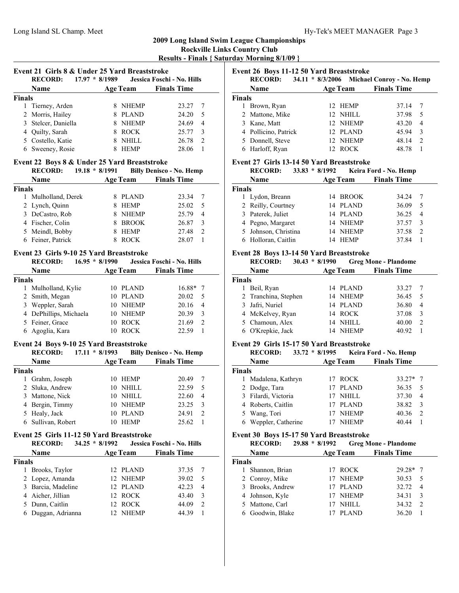# **2009 Long Island Swim League Championships Rockville Links Country Club Results - Finals { Saturday Morning 8/1/09 }**

**Event 21 Girls 8 & Under 25 Yard Breaststroke RECORD:** 17.97 \* 8/1989 **Jessica Foschi - No. Hills Name Age Team Finals Time Finals** 1 Tierney, Arden 8 NHEMP 23.27 7 2 Morris, Hailey 8 PLAND 24.20 5 3 24.69 4 Stelcer, Daniella 8 NHEMP 4 25.77 3 Quilty, Sarah 8 ROCK 5 26.78 2 Costello, Katie 8 NHILL 6 28.06 1 Sweeney, Rosie 8 HEMP

# **Event 22 Boys 8 & Under 25 Yard Breaststroke**

|               | <b>RECORD:</b><br>$19.18 * 8/1991$ |                 | <b>Billy Denisco - No. Hemp</b> |               |
|---------------|------------------------------------|-----------------|---------------------------------|---------------|
|               | Name                               | <b>Age Team</b> | <b>Finals Time</b>              |               |
| <b>Finals</b> |                                    |                 |                                 |               |
|               | Mulholland, Derek                  | <b>PLAND</b>    | 23.34                           |               |
|               | 2 Lynch, Quinn                     | <b>HEMP</b>     | 25.02                           | -5            |
|               | 3 DeCastro, Rob                    | <b>NHEMP</b>    | 25.79                           | 4             |
|               | 4 Fischer, Colin                   | <b>BROOK</b>    | 26.87                           | 3             |
|               | 5 Meindl, Bobby                    | <b>HEMP</b>     | 27.48                           | $\mathcal{D}$ |
|               | 6 Feiner, Patrick                  | <b>ROCK</b>     | 28.07                           |               |

#### **Event 23 Girls 9-10 25 Yard Breaststroke**

|               | <b>RECORD:</b>         | $16.95 * 8/1990$ |                 | Jessica Foschi - No. Hills |  |
|---------------|------------------------|------------------|-----------------|----------------------------|--|
|               | <b>Name</b>            |                  | <b>Age Team</b> | <b>Finals Time</b>         |  |
| <b>Finals</b> |                        |                  |                 |                            |  |
| 1             | Mulholland, Kylie      |                  | 10 PLAND        | $16.88*$ 7                 |  |
|               | 2 Smith, Megan         |                  | 10 PLAND        | 20.02<br>5                 |  |
|               | 3 Weppler, Sarah       |                  | 10 NHEMP        | 20.16<br>4                 |  |
|               | 4 DePhillips, Michaela |                  | 10 NHEMP        | 20.39<br>3                 |  |
|               | 5 Feiner, Grace        |                  | 10 ROCK         | 21.69<br>$\mathcal{D}$     |  |
| 6             | Agoglia, Kara          |                  | <b>ROCK</b>     | 22.59                      |  |

#### **Event 24 Boys 9-10 25 Yard Breaststroke**

|               | <b>RECORD:</b>     | $17.11 * 8/1993$ |                 | <b>Billy Denisco - No. Hemp</b> |               |
|---------------|--------------------|------------------|-----------------|---------------------------------|---------------|
|               | Name               |                  | <b>Age Team</b> | <b>Finals Time</b>              |               |
| <b>Finals</b> |                    |                  |                 |                                 |               |
|               | Grahm, Joseph      | 10               | HEMP            | 20.49                           | 7             |
|               | 2 Sluka, Andrew    | 10               | NHILL           | 22.59                           | 5             |
|               | 3 Mattone, Nick    | 10               | NHILL           | 22.60                           | 4             |
|               | 4 Bergin, Timmy    | 10               | <b>NHEMP</b>    | 23.25                           | -3            |
|               | 5 Healy, Jack      | 10               | <b>PLAND</b>    | 24.91                           | $\mathcal{L}$ |
|               | 6 Sullivan, Robert | 10               | <b>HEMP</b>     | 25.62                           |               |

# **Event 25 Girls 11-12 50 Yard Breaststroke**

| <b>RECORD:</b>      | $34.25 * 8/1992$ |                 | Jessica Foschi - No. Hills |     |
|---------------------|------------------|-----------------|----------------------------|-----|
| <b>Name</b>         |                  | <b>Age Team</b> | <b>Finals Time</b>         |     |
| <b>Finals</b>       |                  |                 |                            |     |
| Brooks, Taylor<br>1 |                  | 12 PLAND        | 37.35                      | - 7 |
| 2 Lopez, Amanda     |                  | 12 NHEMP        | 39.02                      | - 5 |
| 3 Barcia, Madeline  |                  | 12 PLAND        | 42.23                      | 4   |
| 4 Aicher, Jillian   |                  | 12 ROCK         | 43.40                      | 3   |
| 5 Dunn, Caitlin     |                  | 12 ROCK         | 44.09                      | 2   |
| 6 Duggan, Adrianna  |                  | 12 NHEMP        | 44.39                      |     |

# **Event 26 Boys 11-12 50 Yard Breaststroke**

|               | <b>RECORD:</b>       | $34.11 * 8/3/2006$ |          | <b>Michael Conroy - No. Hemp</b> |   |
|---------------|----------------------|--------------------|----------|----------------------------------|---|
|               | Name                 | <b>Age Team</b>    |          | <b>Finals Time</b>               |   |
| <b>Finals</b> |                      |                    |          |                                  |   |
|               | Brown, Ryan          |                    | 12 HEMP  | 37.14                            |   |
|               | 2 Mattone, Mike      |                    | 12 NHILL | 37.98                            | 5 |
|               | 3 Kane, Matt         |                    | 12 NHEMP | 43.20                            | 4 |
|               | 4 Pollicino, Patrick |                    | 12 PLAND | 45.94                            | 3 |
|               | 5 Donnell, Steve     |                    | 12 NHEMP | 48.14                            | 2 |
|               | 6 Harloff, Ryan      |                    | ROCK     | 48.78                            |   |

#### **Event 27 Girls 13-14 50 Yard Breaststroke**

|        | <b>RECORD:</b><br>$33.83 * 8/1992$ |    |                 | Keira Ford - No. Hemp |                |
|--------|------------------------------------|----|-----------------|-----------------------|----------------|
|        | Name                               |    | <b>Age Team</b> | <b>Finals Time</b>    |                |
| Finals |                                    |    |                 |                       |                |
|        | 1 Lydon, Breann                    |    | 14 BROOK        | 34.24                 | -7             |
|        | 2 Reilly, Courtney                 |    | 14 PLAND        | 36.09                 | 5              |
|        | 3 Paterek, Juliet                  |    | 14 PLAND        | 36.25                 | $\overline{4}$ |
|        | 4 Pegno, Margaret                  |    | 14 NHEMP        | 37.57                 | 3              |
|        | 5 Johnson, Christina               |    | 14 NHEMP        | 37.58                 | $\mathcal{D}$  |
|        | 6 Holloran, Caitlin                | 14 | <b>HEMP</b>     | 37.84                 |                |

#### **Event 28 Boys 13-14 50 Yard Breaststroke**

| <b>RECORD:</b>       |          | <b>Greg Mone - Plandome</b> |
|----------------------|----------|-----------------------------|
| Name                 | Age Team | <b>Finals Time</b>          |
| Finals               |          |                             |
| Beil, Ryan           | 14 PLAND | 33.27                       |
| 2 Tranchina, Stephen | 14 NHEMP | 36.45<br>-5                 |
| 3 Jafri, Nuriel      | 14 PLAND | 36.80<br>$\overline{4}$     |
| 4 McKelvey, Ryan     | 14 ROCK  | 37.08<br>3                  |
| 5 Chamoun, Alex      | 14 NHILL | 40.00<br>$\mathcal{L}$      |
| O'Krepkie, Jack      | 14 NHEMP | 40.92                       |
|                      |          | $30.43 * 8/1990$            |

# **Event 29 Girls 15-17 50 Yard Breaststroke**

|               | <b>RECORD:</b><br>$33.72 * 8/1995$ |                 | Keira Ford - No. Hemp |  |
|---------------|------------------------------------|-----------------|-----------------------|--|
|               | <b>Name</b>                        | <b>Age Team</b> | <b>Finals Time</b>    |  |
| <b>Finals</b> |                                    |                 |                       |  |
|               | 1 Madalena, Kathryn                | 17 ROCK         | $33.27*$ 7            |  |
|               | 2 Dodge, Tara                      | 17 PLAND        | 36.35<br>5            |  |
|               | 3 Filardi, Victoria                | NHILL N         | 37.30<br>4            |  |
|               | 4 Roberts, Caitlin                 | PLAND           | 38.82<br>3            |  |
|               | 5 Wang, Tori                       | <b>NHEMP</b>    | 40.36<br>2            |  |
|               | 6 Weppler, Catherine               | <b>NHEMP</b>    | 40.44                 |  |

# **Event 30 Boys 15-17 50 Yard Breaststroke**

|        | <b>RECORD:</b><br>$29.88 * 8/1992$ |                 | <b>Greg Mone - Plandome</b> |  |
|--------|------------------------------------|-----------------|-----------------------------|--|
|        | Name                               | <b>Age Team</b> | <b>Finals Time</b>          |  |
| Finals |                                    |                 |                             |  |
|        | Shannon, Brian                     | 17 ROCK         | $29.28*7$                   |  |
|        | 2 Conroy, Mike                     | 17 NHEMP        | 30.53<br>5                  |  |
|        | 3 Brooks, Andrew                   | 17 PLAND        | 32.72<br>$\overline{4}$     |  |
|        | 4 Johnson, Kyle                    | 17 NHEMP        | 34.31<br>3                  |  |
|        | 5 Mattone, Carl                    | NHILL.          | 34.32<br>$\mathcal{L}$      |  |
|        | 6 Goodwin, Blake                   | PLAND           | 36.20                       |  |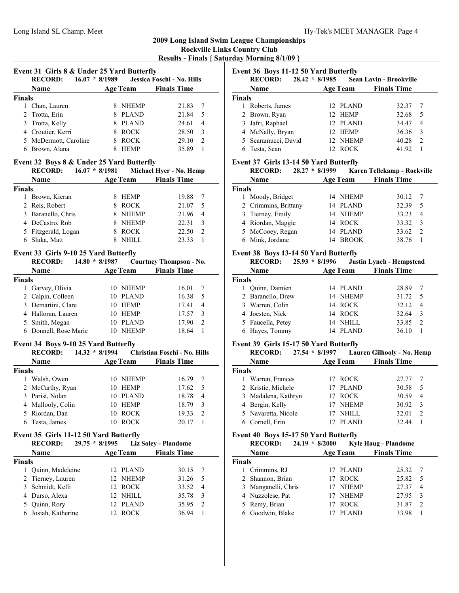# **2009 Long Island Swim League Championships Rockville Links Country Club**

**Results - Finals { Saturday Morning 8/1/09 }**

| Name                  |   | <b>Age Team</b> | <b>Finals Time</b> |    |
|-----------------------|---|-----------------|--------------------|----|
| <b>Finals</b>         |   |                 |                    |    |
| 1 Chan, Lauren        |   | <b>NHEMP</b>    | 21.83              | 7  |
| 2 Trotta, Erin        |   | <b>PLAND</b>    | 21.84              | 5  |
| 3 Trotta, Kelly       |   | <b>PLAND</b>    | 24.61              | 4  |
| 4 Croutier, Kerri     |   | <b>ROCK</b>     | 28.50              | -3 |
| 5 McDermott, Caroline | 8 | <b>ROCK</b>     | 29.10              | 2  |
| Brown, Alana<br>6     |   | <b>HEMP</b>     | 35.89              |    |

|               | www.<br>1 V.V /     | 0.1201 |                 | $\ldots$           |               |
|---------------|---------------------|--------|-----------------|--------------------|---------------|
|               | Name                |        | <b>Age Team</b> | <b>Finals Time</b> |               |
| <b>Finals</b> |                     |        |                 |                    |               |
|               | Brown, Kieran       |        | <b>HEMP</b>     | 19.88              |               |
|               | 2 Reis, Robert      |        | <b>ROCK</b>     | 21.07              | 5             |
|               | 3 Baranello, Chris  |        | NHEMP           | 21.96              | 4             |
|               | 4 DeCastro, Rob     |        | <b>NHEMP</b>    | 22.31              | $\mathcal{R}$ |
|               | 5 Fitzgerald, Logan |        | <b>ROCK</b>     | 22.50              | $\mathcal{D}$ |
|               | 6 Sluka, Matt       |        | NHILL.          | 23.33              |               |

#### **Event 33 Girls 9-10 25 Yard Butterfly**

|               | <b>RECORD:</b>        | $14.80 * 8/1987$ |                 | <b>Courtney Thompson - No.</b> |   |
|---------------|-----------------------|------------------|-----------------|--------------------------------|---|
|               | <b>Name</b>           |                  | <b>Age Team</b> | <b>Finals Time</b>             |   |
| <b>Finals</b> |                       |                  |                 |                                |   |
|               | 1 Garvey, Olivia      |                  | 10 NHEMP        | 16.01                          |   |
|               | 2 Calpin, Colleen     |                  | 10 PLAND        | 16.38                          | 5 |
|               | 3 Demartini, Clare    |                  | 10 HEMP         | 17.41                          | 4 |
|               | 4 Halloran, Lauren    | 10               | HEMP            | 17.57                          |   |
|               | 5 Smith, Megan        | 10               | <b>PLAND</b>    | 17.90                          | 2 |
|               | 6 Donnell, Rose Marie |                  | <b>NHEMP</b>    | 18.64                          |   |

# **Event 34 Boys 9-10 25 Yard Butterfly**

| <b>RECORD:</b> |                                                                                           |                  |                                                                                                         |                              |
|----------------|-------------------------------------------------------------------------------------------|------------------|---------------------------------------------------------------------------------------------------------|------------------------------|
| <b>Name</b>    |                                                                                           |                  | <b>Finals Time</b>                                                                                      |                              |
|                |                                                                                           |                  |                                                                                                         |                              |
| Walsh, Owen    |                                                                                           |                  | 16.79                                                                                                   |                              |
|                |                                                                                           |                  | 17.62                                                                                                   | - 5                          |
|                |                                                                                           |                  | 18.78                                                                                                   | 4                            |
|                |                                                                                           |                  | 18.79                                                                                                   | 3                            |
|                |                                                                                           |                  | 19.33                                                                                                   | $\mathfrak{D}$               |
|                |                                                                                           |                  | 20.17                                                                                                   |                              |
|                | <b>Finals</b><br>3 Parisi, Nolan<br>4 Mullooly, Colin<br>5 Riordan, Dan<br>6 Testa, James | 2 McCarthy, Ryan | $14.32 * 8/1994$<br><b>Age Team</b><br>10 NHEMP<br>10 HEMP<br>10 PLAND<br>10 HEMP<br>10 ROCK<br>10 ROCK | Christian Foschi - No. Hills |

# **Event 35 Girls 11-12 50 Yard Butterfly**

| <b>RECORD:</b>      |  |                                                                                                           |                             |
|---------------------|--|-----------------------------------------------------------------------------------------------------------|-----------------------------|
| <b>Name</b>         |  | <b>Finals Time</b>                                                                                        |                             |
| <b>Finals</b>       |  |                                                                                                           |                             |
| Quinn, Madeleine    |  | 30.15                                                                                                     |                             |
| 2 Tierney, Lauren   |  | 31.26                                                                                                     | - 5                         |
| 3 Schmidt, Kelli    |  | 33.52                                                                                                     | $\overline{4}$              |
| 4 Durso, Alexa      |  | 35.78                                                                                                     | 3                           |
| 5 Ouinn, Rory       |  | 35.95                                                                                                     | 2                           |
| 6 Josiah, Katherine |  | 36.94                                                                                                     |                             |
|                     |  | $29.75 * 8/1995$<br><b>Age Team</b><br>12 PLAND<br>12 NHEMP<br>12 ROCK<br>12 NHILL<br>12 PLAND<br>12 ROCK | <b>Liz Soley - Plandome</b> |

|               | Event 36 Boys 11-12 50 Yard Butterfly |  |                 |                                        |                |  |  |  |
|---------------|---------------------------------------|--|-----------------|----------------------------------------|----------------|--|--|--|
|               | <b>RECORD:</b>                        |  |                 | 28.42 * 8/1985 Sean Lavin - Brookville |                |  |  |  |
|               | <b>Name</b>                           |  | <b>Age Team</b> | <b>Finals Time</b>                     |                |  |  |  |
| <b>Finals</b> |                                       |  |                 |                                        |                |  |  |  |
|               | Roberts, James                        |  | 12 PLAND        | 32.37                                  |                |  |  |  |
|               | 2 Brown, Ryan                         |  | 12 HEMP         | 32.68                                  | .5             |  |  |  |
|               | 3 Jafri, Raphael                      |  | 12 PLAND        | 34.47                                  | 4              |  |  |  |
|               | 4 McNally, Bryan                      |  | 12 HEMP         | 36.36                                  | 3              |  |  |  |
|               | 5 Scaramucci, David                   |  | 12 NHEMP        | 40.28                                  | $\mathfrak{D}$ |  |  |  |
|               | Testa, Sean                           |  | 12 ROCK         | 41.92                                  |                |  |  |  |

#### **Event 37 Girls 13-14 50 Yard Butterfly**

|        | $28.27 * 8/1999$<br><b>RECORD:</b> |          | Karen Tellekamp - Rockville |                |
|--------|------------------------------------|----------|-----------------------------|----------------|
|        | Name                               | Age Team | <b>Finals Time</b>          |                |
| Finals |                                    |          |                             |                |
|        | 1 Moody, Bridget                   | 14 NHEMP | 30.12                       | 7              |
|        | 2 Crimmins, Brittany               | 14 PLAND | 32.39                       | 5              |
|        | 3 Tierney, Emily                   | 14 NHEMP | 33.23                       | $\overline{4}$ |
|        | 4 Riordan, Maggie                  | 14 ROCK  | 33.32                       | $\mathcal{E}$  |
|        | 5 McCooey, Regan                   | 14 PLAND | 33.62                       | $\mathcal{D}$  |
|        | 6 Mink. Jordane                    | 14 BROOK | 38.76                       |                |

#### **Event 38 Boys 13-14 50 Yard Butterfly**

|               | <b>RECORD:</b>    | $25.93 * 8/1996$ |                 | <b>Justin Lynch - Hempstead</b> |                |
|---------------|-------------------|------------------|-----------------|---------------------------------|----------------|
|               | Name              |                  | <b>Age Team</b> | <b>Finals Time</b>              |                |
| <b>Finals</b> |                   |                  |                 |                                 |                |
|               | 1 Ouinn, Damien   |                  | 14 PLAND        | 28.89                           |                |
|               | 2 Baranello, Drew |                  | 14 NHEMP        | 31.72                           | - 5            |
|               | 3 Warren, Colin   |                  | 14 ROCK         | 32.12                           | $\overline{4}$ |
|               | 4 Joesten, Nick   |                  | 14 ROCK         | 32.64                           | 3              |
|               | 5 Faucella, Petey |                  | 14 NHILL        | 33.85                           | 2              |
|               | 6 Hayes, Tommy    |                  | 14 PLAND        | 36.10                           |                |

#### **Event 39 Girls 15-17 50 Yard Butterfly**

|               | <b>RECORD:</b>      | $27.54 * 8/1997$ |                 | Lauren Gilhooly - No. Hemp |                |
|---------------|---------------------|------------------|-----------------|----------------------------|----------------|
|               | Name                |                  | <b>Age Team</b> | <b>Finals Time</b>         |                |
| <b>Finals</b> |                     |                  |                 |                            |                |
|               | Warren, Frances     |                  | 17 ROCK         | 27.77                      |                |
|               | 2 Kristie, Michele  |                  | <b>PLAND</b>    | 30.58                      | 5              |
|               | 3 Madalena, Kathryn |                  | 17 ROCK         | 30.59                      | $\overline{4}$ |
|               | 4 Bergin, Kelly     |                  | <b>NHEMP</b>    | 30.92                      | 3              |
|               | 5 Navaretta, Nicole |                  | NHILL           | 32.01                      | 2              |
|               | Cornell, Erin       |                  | PLAND           | 32.44                      |                |

# **Event 40 Boys 15-17 50 Yard Butterfly**

|               | <b>RECORD:</b><br>$24.19 * 8/2000$ |                 | <b>Kyle Haug - Plandome</b> |    |
|---------------|------------------------------------|-----------------|-----------------------------|----|
|               | Name                               | <b>Age Team</b> | <b>Finals Time</b>          |    |
| <b>Finals</b> |                                    |                 |                             |    |
|               | 1 Crimmins, RJ                     | 17 PLAND        | 25.32                       |    |
|               | 2 Shannon, Brian                   | <b>ROCK</b>     | 25.82                       | .5 |
|               | 3 Manganelli, Chris                | NHEMP           | 27.37                       | 4  |
|               | 4 Nuzzolese, Pat                   | <b>NHEMP</b>    | 27.95                       | 3  |
|               | 5 Remy, Brian                      | <b>ROCK</b>     | 31.87                       | 2  |
|               | Goodwin, Blake                     | PLAND           | 33.98                       |    |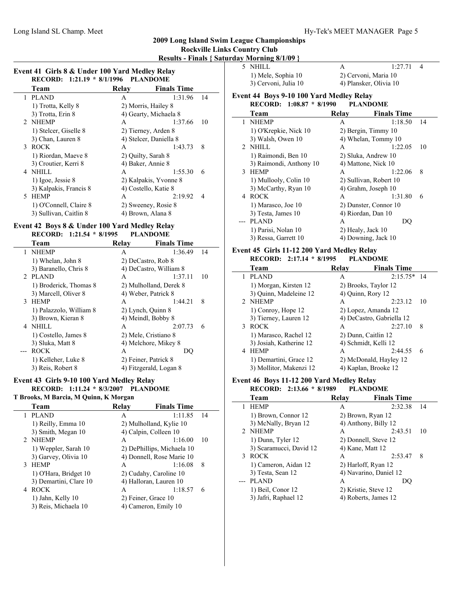# **2009 Long Island Swim League Championships**

# **Rockville Links Country Club**

| <b>Results - Finals { Saturday Morning 8/1/09 }</b> |
|-----------------------------------------------------|
| --------                                            |

L,

 $\sim$ 

|               | Event 41 Girls 8 & Under 100 Yard Medley Relay |       |                        |    |
|---------------|------------------------------------------------|-------|------------------------|----|
|               | RECORD: 1:21.19 * 8/1/1996 PLANDOME            |       |                        |    |
|               | Team                                           | Relay | <b>Finals Time</b>     |    |
| 1             | PLAND                                          | A     | 1:31.96                | 14 |
|               | 1) Trotta, Kelly 8                             |       | 2) Morris, Hailey 8    |    |
|               | 3) Trotta, Erin 8                              |       | 4) Gearty, Michaela 8  |    |
| $\mathcal{D}$ | <b>NHEMP</b>                                   | A     | 1:37.66                | 10 |
|               | 1) Stelcer, Giselle 8                          |       | 2) Tierney, Arden 8    |    |
|               | 3) Chan, Lauren 8                              |       | 4) Stelcer, Daniella 8 |    |
|               | 3 ROCK                                         | A     | 1:43.73                | 8  |
|               | 1) Riordan, Maeve 8                            |       | 2) Quilty, Sarah 8     |    |
|               | 3) Croutier, Kerri 8                           |       | 4) Baker, Annie 8      |    |
| 4             | NHILL                                          | A     | 1:55.30                | 6  |
|               | 1) Igoe, Jessie 8                              |       | 2) Kalpakis, Yvonne 8  |    |
|               | 3) Kalpakis, Francis 8                         |       | 4) Costello, Katie 8   |    |
| 5.            | <b>HEMP</b>                                    | A     | 2:19.92                | 4  |
|               | 1) O'Connell, Claire 8                         |       | 2) Sweeney, Rosie 8    |    |
|               | 3) Sullivan, Caitlin 8                         |       | 4) Brown, Alana 8      |    |

### **Event 42 Boys 8 & Under 100 Yard Medley Relay RECORD: 1:21.54 \* 8/1995 PLANDOME**

| Team                    | Relay                | <b>Finals Time</b>     |    |
|-------------------------|----------------------|------------------------|----|
| 1 NHEMP                 | A                    | 1:36.49                | 14 |
| 1) Whelan, John 8       | 2) DeCastro, Rob 8   |                        |    |
| 3) Baranello, Chris 8   |                      | 4) DeCastro, William 8 |    |
| 2 PLAND                 | A                    | 1:37.11                | 10 |
| 1) Broderick, Thomas 8  |                      | 2) Mulholland, Derek 8 |    |
| 3) Marcell, Oliver 8    | 4) Weber, Patrick 8  |                        |    |
| 3 HEMP                  | A                    | 1:44.21                | 8  |
| 1) Palazzolo, William 8 | 2) Lynch, Quinn 8    |                        |    |
| 3) Brown, Kieran 8      | 4) Meindl, Bobby 8   |                        |    |
| 4 NHILL                 | A                    | 2:07.73                | 6  |
| 1) Costello, James 8    | 2) Mele, Cristiano 8 |                        |    |
| 3) Sluka, Matt 8        |                      | 4) Melchore, Mikey 8   |    |
| <b>ROCK</b>             | A                    | DO                     |    |
| 1) Kelleher, Luke 8     | 2) Feiner, Patrick 8 |                        |    |
| 3) Reis, Robert 8       |                      | 4) Fitzgerald, Logan 8 |    |

# **Event 43 Girls 9-10 100 Yard Medley Relay RECORD:** 1:11.24 \* 8/3/2007 **PLANDOME**

**T Brooks, M Barcia, M Quinn, K Morgan**

| Team                   | Relay | <b>Finals Time</b>         |    |
|------------------------|-------|----------------------------|----|
| <b>PLAND</b><br>1      | A     | 1:11.85                    | 14 |
| 1) Reilly, Emma 10     |       | 2) Mulholland, Kylie 10    |    |
| 3) Smith, Megan 10     |       | 4) Calpin, Colleen 10      |    |
| 2 NHEMP                | A     | 1:16.00                    | 10 |
| 1) Weppler, Sarah 10   |       | 2) DePhillips, Michaela 10 |    |
| 3) Garvey, Olivia 10   |       | 4) Donnell, Rose Marie 10  |    |
| <b>HEMP</b><br>3       | A     | 1:16.08<br>8               |    |
| 1) O'Hara, Bridget 10  |       | 2) Cudahy, Caroline 10     |    |
| 3) Demartini, Clare 10 |       | 4) Halloran, Lauren 10     |    |
| <b>ROCK</b><br>4       | A     | 1:18.57<br>6               |    |
| 1) Jahn, Kelly 10      |       | 2) Feiner, Grace 10        |    |
| 3) Reis, Michaela 10   |       | 4) Cameron, Emily 10       |    |
|                        |       |                            |    |

| 5.             | NHILL                                    | A     | 1:27.71                | 4  |
|----------------|------------------------------------------|-------|------------------------|----|
|                | 1) Mele, Sophia 10                       |       | 2) Cervoni, Maria 10   |    |
|                | 3) Cervoni, Julia 10                     |       | 4) Plansker, Olivia 10 |    |
|                | Event 44 Boys 9-10 100 Yard Medley Relay |       |                        |    |
|                | RECORD: 1:08.87 * 8/1990                 |       | <b>PLANDOME</b>        |    |
|                | Team                                     | Relay | <b>Finals Time</b>     |    |
| $\mathbf{1}$   | <b>NHEMP</b>                             | A     | 1:18.50                | 14 |
|                | 1) O'Krepkie, Nick 10                    |       | 2) Bergin, Timmy 10    |    |
|                | 3) Walsh, Owen 10                        |       | 4) Whelan, Tommy 10    |    |
| $\mathfrak{D}$ | NHILL                                    | A     | 1:22.05                | 10 |
|                | 1) Raimondi, Ben 10                      |       | 2) Sluka, Andrew 10    |    |
|                | 3) Raimondi, Anthony 10                  |       | 4) Mattone, Nick 10    |    |
|                | 3 HEMP                                   | A     | 1:22.06                | 8  |
|                | 1) Mullooly, Colin 10                    |       | 2) Sullivan, Robert 10 |    |
|                | 3) McCarthy, Ryan 10                     |       | 4) Grahm, Joseph 10    |    |
| 4              | <b>ROCK</b>                              | A     | 1:31.80                | 6  |
|                | 1) Marasco, Joe 10                       |       | 2) Dunster, Connor 10  |    |
|                | 3) Testa, James 10                       |       | 4) Riordan, Dan 10     |    |
|                | <b>PLAND</b>                             | A     | DQ                     |    |
|                | 1) Parisi, Nolan 10                      |       | 2) Healy, Jack 10      |    |
|                | 3) Ressa, Garrett 10                     |       | 4) Downing, Jack 10    |    |

#### **Event 45 Girls 11-12 200 Yard Medley Relay<br><b>RECORD:** 2:17.14 \* 8/1995 PLANDOME  $RFCORD: 2.17.14 * 8/1995$

| KEUUKD: 4:17.14 " 0/1993 | FLANDVINE            |                           |    |
|--------------------------|----------------------|---------------------------|----|
| Team                     | Relav                | <b>Finals Time</b>        |    |
| <b>PLAND</b>             | A                    | $2:15.75*$ 14             |    |
| 1) Morgan, Kirsten 12    | 2) Brooks, Taylor 12 |                           |    |
| 3) Ouinn, Madeleine 12   | 4) Quinn, Rory 12    |                           |    |
| 2 NHEMP                  | A                    | 2:23.12                   | 10 |
| 1) Conroy, Hope 12       | 2) Lopez, Amanda 12  |                           |    |
| 3) Tierney, Lauren 12    |                      | 4) DeCastro, Gabriella 12 |    |
| <b>ROCK</b>              | A                    | 2:27.10                   | 8  |
| 1) Marasco, Rachel 12    | 2) Dunn, Caitlin 12  |                           |    |
| 3) Josiah, Katherine 12  | 4) Schmidt, Kelli 12 |                           |    |
| <b>HEMP</b>              | A                    | 2:44.55                   | 6  |
| 1) Demartini, Grace 12   |                      | 2) McDonald, Hayley 12    |    |
| 3) Mollitor, Makenzi 12  | 4) Kaplan, Brooke 12 |                           |    |

### **Event 46 Boys 11-12 200 Yard Medley Relay RECORD:** 2:13.66 \* 8/1989 **PLANDOME**

| Team                    | Relay            | <b>Finals Time</b>     |     |
|-------------------------|------------------|------------------------|-----|
| <b>HEMP</b>             | A                | 2:32.38                | 14  |
| 1) Brown, Connor 12     |                  | 2) Brown, Ryan 12      |     |
| 3) McNally, Bryan 12    |                  | 4) Anthony, Billy 12   |     |
| 2 NHEMP                 | A                | 2:43.51                | -10 |
| 1) Dunn, Tyler 12       |                  | 2) Donnell, Steve 12   |     |
| 3) Scaramucci, David 12 | 4) Kane, Matt 12 |                        |     |
| 3 ROCK                  | A                | 2:53.47                | 8   |
| 1) Cameron, Aidan 12    |                  | 2) Harloff, Ryan 12    |     |
| 3) Testa, Sean 12       |                  | 4) Navarino, Daniel 12 |     |
| <b>PLAND</b>            | A                | DO                     |     |
| 1) Beil, Conor 12       |                  | 2) Kristie, Steve 12   |     |
| 3) Jafri, Raphael 12    |                  | 4) Roberts, James 12   |     |